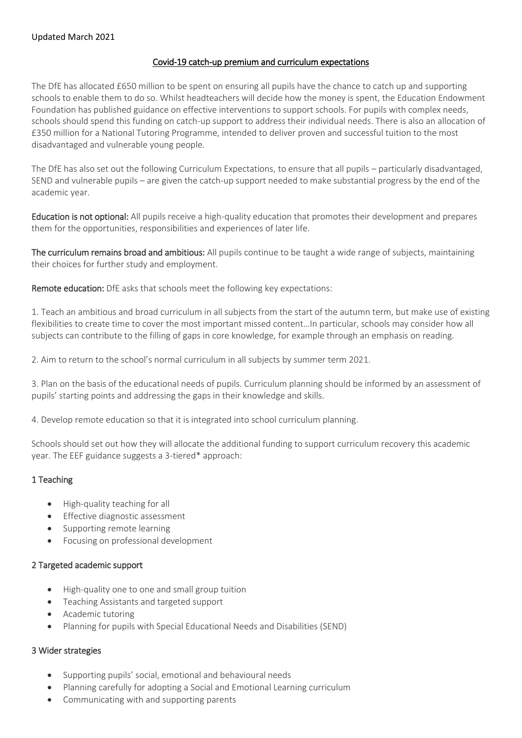## Covid-19 catch-up premium and curriculum expectations

The DfE has allocated £650 million to be spent on ensuring all pupils have the chance to catch up and supporting schools to enable them to do so. Whilst headteachers will decide how the money is spent, the Education Endowment Foundation has published guidance on effective interventions to support schools. For pupils with complex needs, schools should spend this funding on catch-up support to address their individual needs. There is also an allocation of £350 million for a National Tutoring Programme, intended to deliver proven and successful tuition to the most disadvantaged and vulnerable young people.

The DfE has also set out the following Curriculum Expectations, to ensure that all pupils – particularly disadvantaged, SEND and vulnerable pupils – are given the catch-up support needed to make substantial progress by the end of the academic year.

Education is not optional: All pupils receive a high-quality education that promotes their development and prepares them for the opportunities, responsibilities and experiences of later life.

The curriculum remains broad and ambitious: All pupils continue to be taught a wide range of subjects, maintaining their choices for further study and employment.

Remote education: DfE asks that schools meet the following key expectations:

1. Teach an ambitious and broad curriculum in all subjects from the start of the autumn term, but make use of existing flexibilities to create time to cover the most important missed content…In particular, schools may consider how all subjects can contribute to the filling of gaps in core knowledge, for example through an emphasis on reading.

2. Aim to return to the school's normal curriculum in all subjects by summer term 2021.

3. Plan on the basis of the educational needs of pupils. Curriculum planning should be informed by an assessment of pupils' starting points and addressing the gaps in their knowledge and skills.

4. Develop remote education so that it is integrated into school curriculum planning.

Schools should set out how they will allocate the additional funding to support curriculum recovery this academic year. The EEF guidance suggests a 3-tiered\* approach:

# 1 Teaching

- High-quality teaching for all
- **•** Effective diagnostic assessment
- Supporting remote learning
- **•** Focusing on professional development

#### 2 Targeted academic support

- High-quality one to one and small group tuition
- Teaching Assistants and targeted support
- Academic tutoring
- Planning for pupils with Special Educational Needs and Disabilities (SEND)

#### 3 Wider strategies

- Supporting pupils' social, emotional and behavioural needs
- Planning carefully for adopting a Social and Emotional Learning curriculum
- Communicating with and supporting parents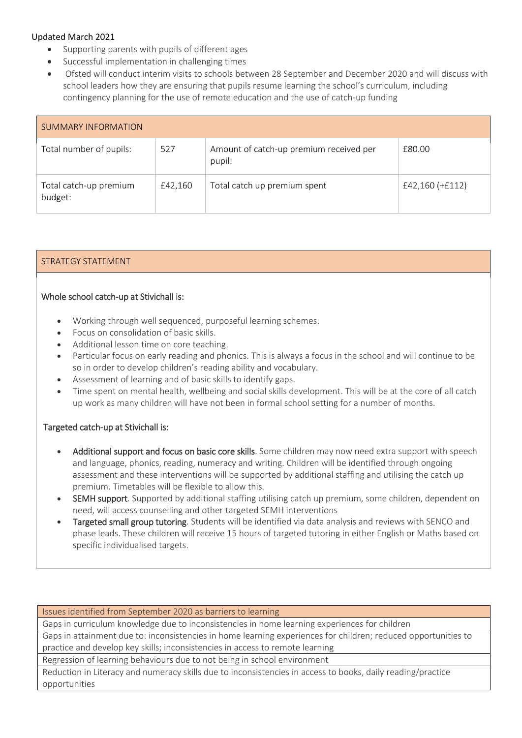- Supporting parents with pupils of different ages
- Successful implementation in challenging times
- Ofsted will conduct interim visits to schools between 28 September and December 2020 and will discuss with school leaders how they are ensuring that pupils resume learning the school's curriculum, including contingency planning for the use of remote education and the use of catch-up funding

| <b>SUMMARY INFORMATION</b>        |         |                                                   |                   |
|-----------------------------------|---------|---------------------------------------------------|-------------------|
| Total number of pupils:           | 527     | Amount of catch-up premium received per<br>pupil: | £80.00            |
| Total catch-up premium<br>budget: | £42,160 | Total catch up premium spent                      | $£42,160 (+£112)$ |

# STRATEGY STATEMENT

# Whole school catch-up at Stivichall is:

- Working through well sequenced, purposeful learning schemes.
- Focus on consolidation of basic skills.
- Additional lesson time on core teaching.
- Particular focus on early reading and phonics. This is always a focus in the school and will continue to be so in order to develop children's reading ability and vocabulary.
- Assessment of learning and of basic skills to identify gaps.
- Time spent on mental health, wellbeing and social skills development. This will be at the core of all catch up work as many children will have not been in formal school setting for a number of months.

# Targeted catch-up at Stivichall is:

- Additional support and focus on basic core skills. Some children may now need extra support with speech and language, phonics, reading, numeracy and writing. Children will be identified through ongoing assessment and these interventions will be supported by additional staffing and utilising the catch up premium. Timetables will be flexible to allow this.
- SEMH support. Supported by additional staffing utilising catch up premium, some children, dependent on need, will access counselling and other targeted SEMH interventions
- Targeted small group tutoring. Students will be identified via data analysis and reviews with SENCO and phase leads. These children will receive 15 hours of targeted tutoring in either English or Maths based on specific individualised targets.

Issues identified from September 2020 as barriers to learning

Gaps in curriculum knowledge due to inconsistencies in home learning experiences for children

Gaps in attainment due to: inconsistencies in home learning experiences for children; reduced opportunities to practice and develop key skills; inconsistencies in access to remote learning

Regression of learning behaviours due to not being in school environment

Reduction in Literacy and numeracy skills due to inconsistencies in access to books, daily reading/practice opportunities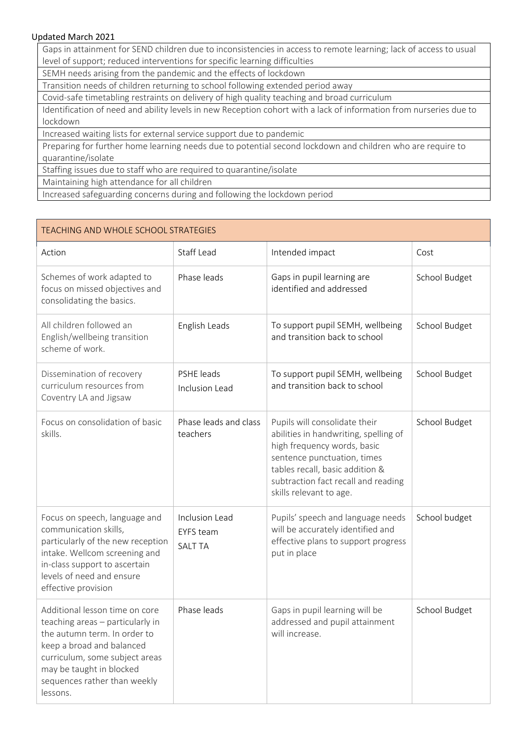Gaps in attainment for SEND children due to inconsistencies in access to remote learning; lack of access to usual level of support; reduced interventions for specific learning difficulties

SEMH needs arising from the pandemic and the effects of lockdown

Transition needs of children returning to school following extended period away

Covid-safe timetabling restraints on delivery of high quality teaching and broad curriculum

Identification of need and ability levels in new Reception cohort with a lack of information from nurseries due to lockdown

Increased waiting lists for external service support due to pandemic

Preparing for further home learning needs due to potential second lockdown and children who are require to quarantine/isolate

Staffing issues due to staff who are required to quarantine/isolate

Maintaining high attendance for all children

Increased safeguarding concerns during and following the lockdown period

| <b>TEACHING AND WHOLE SCHOOL STRATEGIES</b>                                                                                                                                                                                               |                                                      |                                                                                                                                                                                                                                           |               |
|-------------------------------------------------------------------------------------------------------------------------------------------------------------------------------------------------------------------------------------------|------------------------------------------------------|-------------------------------------------------------------------------------------------------------------------------------------------------------------------------------------------------------------------------------------------|---------------|
| Action                                                                                                                                                                                                                                    | Staff Lead                                           | Intended impact                                                                                                                                                                                                                           | Cost          |
| Schemes of work adapted to<br>focus on missed objectives and<br>consolidating the basics.                                                                                                                                                 | Phase leads                                          | Gaps in pupil learning are<br>identified and addressed                                                                                                                                                                                    | School Budget |
| All children followed an<br>English/wellbeing transition<br>scheme of work.                                                                                                                                                               | English Leads                                        | To support pupil SEMH, wellbeing<br>and transition back to school                                                                                                                                                                         | School Budget |
| Dissemination of recovery<br>curriculum resources from<br>Coventry LA and Jigsaw                                                                                                                                                          | PSHE leads<br>Inclusion Lead                         | To support pupil SEMH, wellbeing<br>and transition back to school                                                                                                                                                                         | School Budget |
| Focus on consolidation of basic<br>skills.                                                                                                                                                                                                | Phase leads and class<br>teachers                    | Pupils will consolidate their<br>abilities in handwriting, spelling of<br>high frequency words, basic<br>sentence punctuation, times<br>tables recall, basic addition &<br>subtraction fact recall and reading<br>skills relevant to age. | School Budget |
| Focus on speech, language and<br>communication skills,<br>particularly of the new reception<br>intake. Wellcom screening and<br>in-class support to ascertain<br>levels of need and ensure<br>effective provision                         | Inclusion Lead<br><b>EYFS</b> team<br><b>SALT TA</b> | Pupils' speech and language needs<br>will be accurately identified and<br>effective plans to support progress<br>put in place                                                                                                             | School budget |
| Additional lesson time on core<br>teaching areas - particularly in<br>the autumn term. In order to<br>keep a broad and balanced<br>curriculum, some subject areas<br>may be taught in blocked<br>sequences rather than weekly<br>lessons. | Phase leads                                          | Gaps in pupil learning will be<br>addressed and pupil attainment<br>will increase.                                                                                                                                                        | School Budget |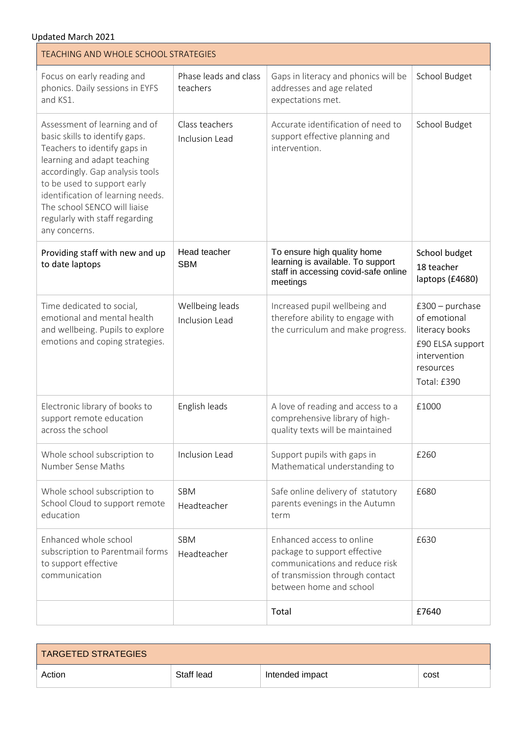| Updated March 2021<br><b>TEACHING AND WHOLE SCHOOL STRATEGIES</b>                                                                                                                                                                                                                                                        |                                   |                                                                                                                                                           |                                                                                                                     |
|--------------------------------------------------------------------------------------------------------------------------------------------------------------------------------------------------------------------------------------------------------------------------------------------------------------------------|-----------------------------------|-----------------------------------------------------------------------------------------------------------------------------------------------------------|---------------------------------------------------------------------------------------------------------------------|
| Focus on early reading and<br>phonics. Daily sessions in EYFS<br>and KS1.                                                                                                                                                                                                                                                | Phase leads and class<br>teachers | Gaps in literacy and phonics will be<br>addresses and age related<br>expectations met.                                                                    | School Budget                                                                                                       |
| Assessment of learning and of<br>basic skills to identify gaps.<br>Teachers to identify gaps in<br>learning and adapt teaching<br>accordingly. Gap analysis tools<br>to be used to support early<br>identification of learning needs.<br>The school SENCO will liaise<br>regularly with staff regarding<br>any concerns. | Class teachers<br>Inclusion Lead  | Accurate identification of need to<br>support effective planning and<br>intervention.                                                                     | School Budget                                                                                                       |
| Providing staff with new and up<br>to date laptops                                                                                                                                                                                                                                                                       | Head teacher<br><b>SBM</b>        | To ensure high quality home<br>learning is available. To support<br>staff in accessing covid-safe online<br>meetings                                      | School budget<br>18 teacher<br>laptops (£4680)                                                                      |
| Time dedicated to social,<br>emotional and mental health<br>and wellbeing. Pupils to explore<br>emotions and coping strategies.                                                                                                                                                                                          | Wellbeing leads<br>Inclusion Lead | Increased pupil wellbeing and<br>therefore ability to engage with<br>the curriculum and make progress.                                                    | $£300 - purchase$<br>of emotional<br>literacy books<br>£90 ELSA support<br>intervention<br>resources<br>Total: £390 |
| Electronic library of books to<br>support remote education<br>across the school                                                                                                                                                                                                                                          | English leads                     | A love of reading and access to a<br>comprehensive library of high-<br>quality texts will be maintained                                                   | £1000                                                                                                               |
| Whole school subscription to<br>Number Sense Maths                                                                                                                                                                                                                                                                       | Inclusion Lead                    | Support pupils with gaps in<br>Mathematical understanding to                                                                                              | £260                                                                                                                |
| Whole school subscription to<br>School Cloud to support remote<br>education                                                                                                                                                                                                                                              | <b>SBM</b><br>Headteacher         | Safe online delivery of statutory<br>parents evenings in the Autumn<br>term                                                                               | £680                                                                                                                |
| Enhanced whole school<br>subscription to Parentmail forms<br>to support effective<br>communication                                                                                                                                                                                                                       | SBM<br>Headteacher                | Enhanced access to online<br>package to support effective<br>communications and reduce risk<br>of transmission through contact<br>between home and school | £630                                                                                                                |
|                                                                                                                                                                                                                                                                                                                          |                                   | Total                                                                                                                                                     | £7640                                                                                                               |

| TARGETED STRATEGIES |            |                 |      |
|---------------------|------------|-----------------|------|
| Action              | Staff lead | Intended impact | cost |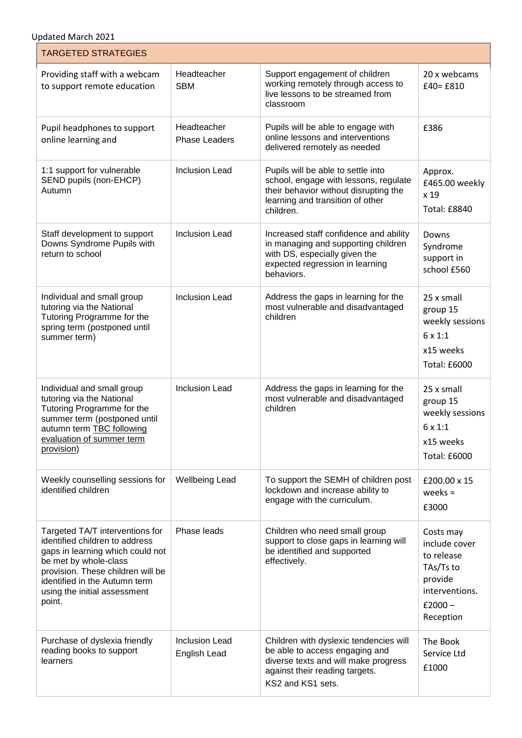Updated March 2021

-1

| <b>TARGETED STRATEGIES</b>                                                                                                                                                                                                                     |                                              |                                                                                                                                                                         |                                                                                                              |
|------------------------------------------------------------------------------------------------------------------------------------------------------------------------------------------------------------------------------------------------|----------------------------------------------|-------------------------------------------------------------------------------------------------------------------------------------------------------------------------|--------------------------------------------------------------------------------------------------------------|
| Providing staff with a webcam<br>to support remote education                                                                                                                                                                                   | Headteacher<br><b>SBM</b>                    | Support engagement of children<br>working remotely through access to<br>live lessons to be streamed from<br>classroom                                                   | 20 x webcams<br>$£40=£810$                                                                                   |
| Pupil headphones to support<br>online learning and                                                                                                                                                                                             | Headteacher<br><b>Phase Leaders</b>          | Pupils will be able to engage with<br>online lessons and interventions<br>delivered remotely as needed                                                                  | £386                                                                                                         |
| 1:1 support for vulnerable<br>SEND pupils (non-EHCP)<br>Autumn                                                                                                                                                                                 | <b>Inclusion Lead</b>                        | Pupils will be able to settle into<br>school, engage with lessons, regulate<br>their behavior without disrupting the<br>learning and transition of other<br>children.   | Approx.<br>£465.00 weekly<br>x 19<br><b>Total: £8840</b>                                                     |
| Staff development to support<br>Downs Syndrome Pupils with<br>return to school                                                                                                                                                                 | <b>Inclusion Lead</b>                        | Increased staff confidence and ability<br>in managing and supporting children<br>with DS, especially given the<br>expected regression in learning<br>behaviors.         | Downs<br>Syndrome<br>support in<br>school £560                                                               |
| Individual and small group<br>tutoring via the National<br>Tutoring Programme for the<br>spring term (postponed until<br>summer term)                                                                                                          | <b>Inclusion Lead</b>                        | Address the gaps in learning for the<br>most vulnerable and disadvantaged<br>children                                                                                   | 25 x small<br>group 15<br>weekly sessions<br>6 x 1:1<br>x15 weeks<br><b>Total: £6000</b>                     |
| Individual and small group<br>tutoring via the National<br>Tutoring Programme for the<br>summer term (postponed until<br>autumn term <b>TBC</b> following<br>evaluation of summer term<br>provision)                                           | <b>Inclusion Lead</b>                        | Address the gaps in learning for the<br>most vulnerable and disadvantaged<br>children                                                                                   | 25 x small<br>group 15<br>weekly sessions<br>$6 \times 1:1$<br>x15 weeks<br><b>Total: £6000</b>              |
| Weekly counselling sessions for<br>identified children                                                                                                                                                                                         | <b>Wellbeing Lead</b>                        | To support the SEMH of children post<br>lockdown and increase ability to<br>engage with the curriculum.                                                                 | £200.00 x 15<br>weeks $=$<br>£3000                                                                           |
| Targeted TA/T interventions for<br>identified children to address<br>gaps in learning which could not<br>be met by whole-class<br>provision. These children will be<br>identified in the Autumn term<br>using the initial assessment<br>point. | Phase leads                                  | Children who need small group<br>support to close gaps in learning will<br>be identified and supported<br>effectively.                                                  | Costs may<br>include cover<br>to release<br>TAs/Ts to<br>provide<br>interventions.<br>$£2000 -$<br>Reception |
| Purchase of dyslexia friendly<br>reading books to support<br>learners                                                                                                                                                                          | <b>Inclusion Lead</b><br><b>English Lead</b> | Children with dyslexic tendencies will<br>be able to access engaging and<br>diverse texts and will make progress<br>against their reading targets.<br>KS2 and KS1 sets. | The Book<br>Service Ltd<br>£1000                                                                             |